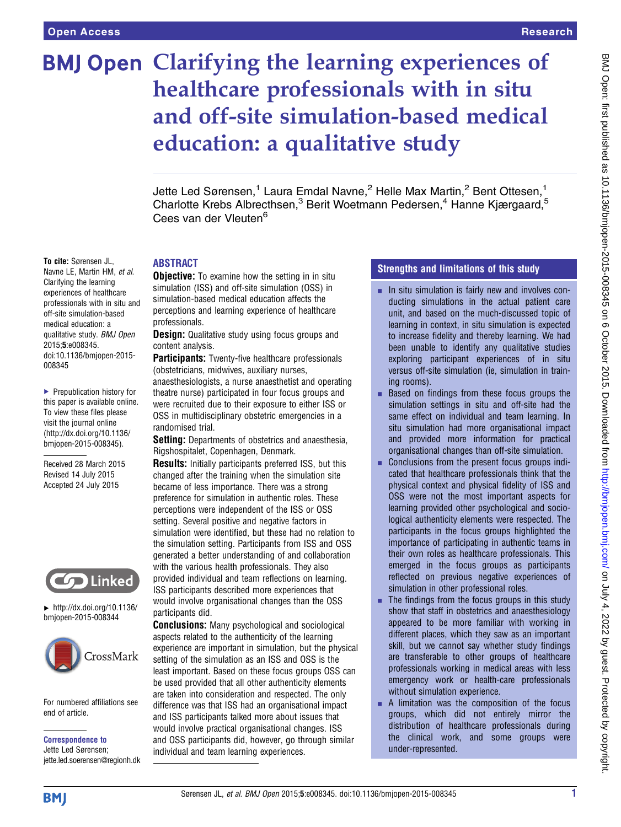# **BMJ Open Clarifying the learning experiences of** healthcare professionals with in situ and off-site simulation-based medical education: a qualitative study

Jette Led Sørensen,<sup>1</sup> Laura Emdal Navne,<sup>2</sup> Helle Max Martin,<sup>2</sup> Bent Ottesen,<sup>1</sup> Charlotte Krebs Albrecthsen,<sup>3</sup> Berit Woetmann Pedersen,<sup>4</sup> Hanne Kjærgaard,<sup>5</sup> Cees van der Vleuten<sup>6</sup>

### ABSTRACT

**Objective:** To examine how the setting in in situ simulation (ISS) and off-site simulation (OSS) in simulation-based medical education affects the perceptions and learning experience of healthcare professionals.

**Design:** Qualitative study using focus groups and content analysis.

Participants: Twenty-five healthcare professionals (obstetricians, midwives, auxiliary nurses,

anaesthesiologists, a nurse anaesthetist and operating theatre nurse) participated in four focus groups and were recruited due to their exposure to either ISS or OSS in multidisciplinary obstetric emergencies in a randomised trial.

Setting: Departments of obstetrics and anaesthesia, Rigshospitalet, Copenhagen, Denmark.

Results: Initially participants preferred ISS, but this changed after the training when the simulation site became of less importance. There was a strong preference for simulation in authentic roles. These perceptions were independent of the ISS or OSS setting. Several positive and negative factors in simulation were identified, but these had no relation to the simulation setting. Participants from ISS and OSS generated a better understanding of and collaboration with the various health professionals. They also provided individual and team reflections on learning. ISS participants described more experiences that would involve organisational changes than the OSS participants did.

Conclusions: Many psychological and sociological aspects related to the authenticity of the learning experience are important in simulation, but the physical setting of the simulation as an ISS and OSS is the least important. Based on these focus groups OSS can be used provided that all other authenticity elements are taken into consideration and respected. The only difference was that ISS had an organisational impact and ISS participants talked more about issues that would involve practical organisational changes. ISS and OSS participants did, however, go through similar individual and team learning experiences.

### Strengths and limitations of this study

- $\blacksquare$  In situ simulation is fairly new and involves conducting simulations in the actual patient care unit, and based on the much-discussed topic of learning in context, in situ simulation is expected to increase fidelity and thereby learning. We had been unable to identify any qualitative studies exploring participant experiences of in situ versus off-site simulation (ie, simulation in training rooms).
- **Based on findings from these focus groups the** simulation settings in situ and off-site had the same effect on individual and team learning. In situ simulation had more organisational impact and provided more information for practical organisational changes than off-site simulation.
- Conclusions from the present focus groups indicated that healthcare professionals think that the physical context and physical fidelity of ISS and OSS were not the most important aspects for learning provided other psychological and sociological authenticity elements were respected. The participants in the focus groups highlighted the importance of participating in authentic teams in their own roles as healthcare professionals. This emerged in the focus groups as participants reflected on previous negative experiences of simulation in other professional roles.
- $\blacksquare$  The findings from the focus groups in this study show that staff in obstetrics and anaesthesiology appeared to be more familiar with working in different places, which they saw as an important skill, but we cannot say whether study findings are transferable to other groups of healthcare professionals working in medical areas with less emergency work or health-care professionals without simulation experience.
- $\blacksquare$  A limitation was the composition of the focus groups, which did not entirely mirror the distribution of healthcare professionals during the clinical work, and some groups were under-represented.

To cite: Sørensen JL, Navne LE, Martin HM, et al. Clarifying the learning experiences of healthcare professionals with in situ and off-site simulation-based medical education: a qualitative study. BMJ Open 2015;5:e008345. doi:10.1136/bmjopen-2015- 008345

▸ Prepublication history for this paper is available online. To view these files please visit the journal online [\(http://dx.doi.org/10.1136/](http://dx.doi.org/10.1136/bmjopen-2015-008345) [bmjopen-2015-008345](http://dx.doi.org/10.1136/bmjopen-2015-008345)).

Received 28 March 2015 Revised 14 July 2015 Accepted 24 July 2015



 $\blacktriangleright$  [http://dx.doi.org/10.1136/](http://dx.doi.org/10.1136/bmjopen-2015-008344) [bmjopen-2015-008344](http://dx.doi.org/10.1136/bmjopen-2015-008344)



For numbered affiliations see end of article.

Correspondence to Jette Led Sørensen; jette.led.soerensen@regionh.dk

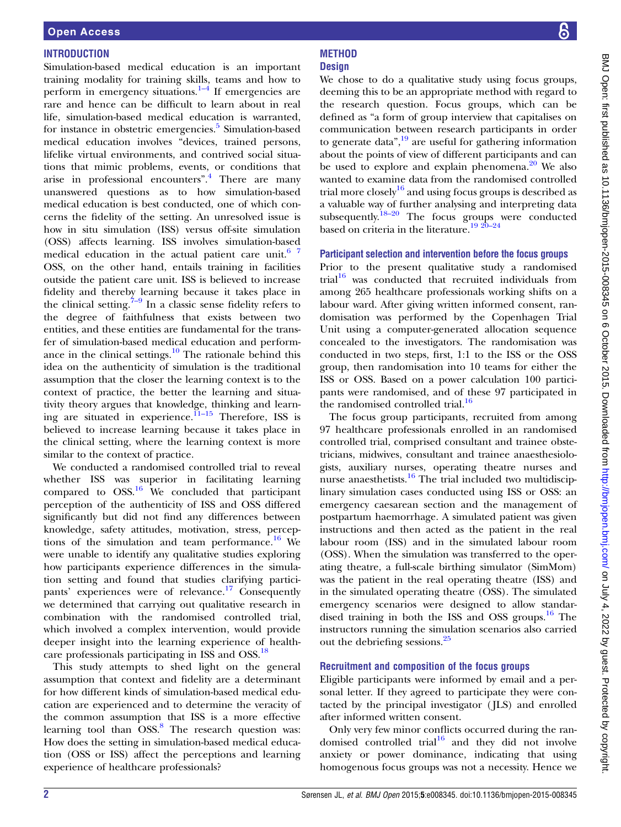### **INTRODUCTION**

Simulation-based medical education is an important training modality for training skills, teams and how to perform in emergency situations. $1-4$  $1-4$  If emergencies are rare and hence can be difficult to learn about in real life, simulation-based medical education is warranted, for instance in obstetric emergencies.<sup>[5](#page-9-0)</sup> Simulation-based medical education involves "devices, trained persons, lifelike virtual environments, and contrived social situations that mimic problems, events, or conditions that arise in professional encounters".<sup>[4](#page-9-0)</sup> There are many unanswered questions as to how simulation-based medical education is best conducted, one of which concerns the fidelity of the setting. An unresolved issue is how in situ simulation (ISS) versus off-site simulation (OSS) affects learning. ISS involves simulation-based medical education in the actual patient care unit. $67$ OSS, on the other hand, entails training in facilities outside the patient care unit. ISS is believed to increase fidelity and thereby learning because it takes place in the clinical setting.<sup>7–9</sup> In a classic sense fidelity refers to the degree of faithfulness that exists between two entities, and these entities are fundamental for the transfer of simulation-based medical education and performance in the clinical settings. $^{10}$  $^{10}$  $^{10}$  The rationale behind this idea on the authenticity of simulation is the traditional assumption that the closer the learning context is to the context of practice, the better the learning and situativity theory argues that knowledge, thinking and learning are situated in experience.<sup>11–15</sup> Therefore, ISS is believed to increase learning because it takes place in the clinical setting, where the learning context is more similar to the context of practice.

We conducted a randomised controlled trial to reveal whether ISS was superior in facilitating learning compared to  $\text{OSS}$ .<sup>[16](#page-9-0)</sup> We concluded that participant perception of the authenticity of ISS and OSS differed significantly but did not find any differences between knowledge, safety attitudes, motivation, stress, percep-tions of the simulation and team performance.<sup>[16](#page-9-0)</sup> We were unable to identify any qualitative studies exploring how participants experience differences in the simulation setting and found that studies clarifying partici-pants' experiences were of relevance.<sup>[17](#page-9-0)</sup> Consequently we determined that carrying out qualitative research in combination with the randomised controlled trial, which involved a complex intervention, would provide deeper insight into the learning experience of health-care professionals participating in ISS and OSS.<sup>[18](#page-9-0)</sup>

This study attempts to shed light on the general assumption that context and fidelity are a determinant for how different kinds of simulation-based medical education are experienced and to determine the veracity of the common assumption that ISS is a more effective learning tool than  $OSS$ <sup>8</sup>. The research question was: How does the setting in simulation-based medical education (OSS or ISS) affect the perceptions and learning experience of healthcare professionals?

### **METHOD Design**

We chose to do a qualitative study using focus groups, deeming this to be an appropriate method with regard to the research question. Focus groups, which can be defined as "a form of group interview that capitalises on communication between research participants in order to generate data",<sup>[19](#page-9-0)</sup> are useful for gathering information about the points of view of different participants and can be used to explore and explain phenomena.<sup>[20](#page-9-0)</sup> We also wanted to examine data from the randomised controlled trial more closely $^{16}$  $^{16}$  $^{16}$  and using focus groups is described as a valuable way of further analysing and interpreting data subsequently.<sup>18-20</sup> The focus groups were conducted based on criteria in the literature.<sup>[19 20](#page-9-0)–24</sup>

### Participant selection and intervention before the focus groups

Prior to the present qualitative study a randomised trial $16$  was conducted that recruited individuals from among 265 healthcare professionals working shifts on a labour ward. After giving written informed consent, randomisation was performed by the Copenhagen Trial Unit using a computer-generated allocation sequence concealed to the investigators. The randomisation was conducted in two steps, first, 1:1 to the ISS or the OSS group, then randomisation into 10 teams for either the ISS or OSS. Based on a power calculation 100 participants were randomised, and of these 97 participated in the randomised controlled trial.<sup>[16](#page-9-0)</sup>

The focus group participants, recruited from among 97 healthcare professionals enrolled in an randomised controlled trial, comprised consultant and trainee obstetricians, midwives, consultant and trainee anaesthesiologists, auxiliary nurses, operating theatre nurses and nurse anaesthetists.[16](#page-9-0) The trial included two multidisciplinary simulation cases conducted using ISS or OSS: an emergency caesarean section and the management of postpartum haemorrhage. A simulated patient was given instructions and then acted as the patient in the real labour room (ISS) and in the simulated labour room (OSS). When the simulation was transferred to the operating theatre, a full-scale birthing simulator (SimMom) was the patient in the real operating theatre (ISS) and in the simulated operating theatre (OSS). The simulated emergency scenarios were designed to allow standardised training in both the ISS and OSS groups. $16$  The instructors running the simulation scenarios also carried out the debriefing sessions.<sup>[25](#page-10-0)</sup>

### Recruitment and composition of the focus groups

Eligible participants were informed by email and a personal letter. If they agreed to participate they were contacted by the principal investigator ( JLS) and enrolled after informed written consent.

Only very few minor conflicts occurred during the randomised controlled trial $16$  and they did not involve anxiety or power dominance, indicating that using homogenous focus groups was not a necessity. Hence we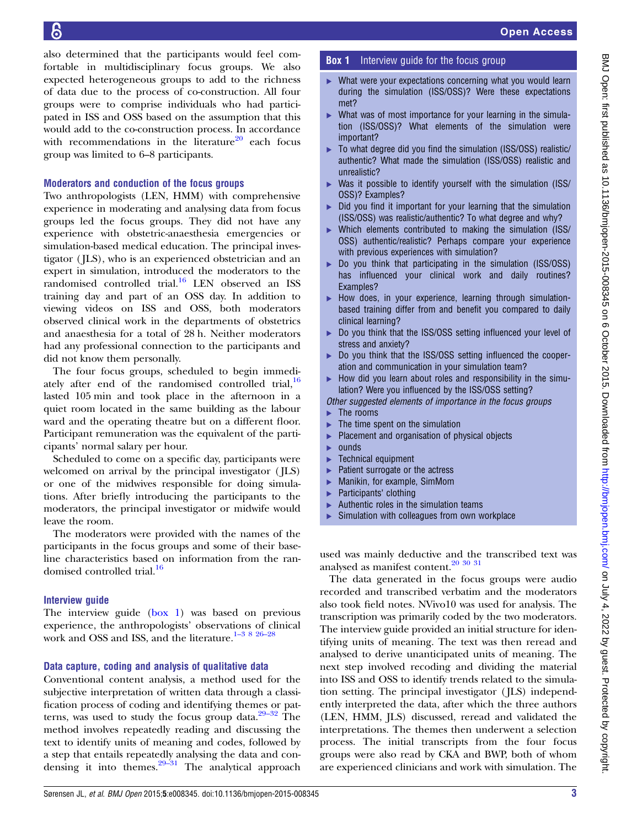<span id="page-2-0"></span>also determined that the participants would feel comfortable in multidisciplinary focus groups. We also expected heterogeneous groups to add to the richness of data due to the process of co-construction. All four groups were to comprise individuals who had participated in ISS and OSS based on the assumption that this would add to the co-construction process. In accordance with recommendations in the literature<sup>[20](#page-9-0)</sup> each focus group was limited to 6–8 participants.

### Moderators and conduction of the focus groups

Two anthropologists (LEN, HMM) with comprehensive experience in moderating and analysing data from focus groups led the focus groups. They did not have any experience with obstetric-anaesthesia emergencies or simulation-based medical education. The principal investigator ( JLS), who is an experienced obstetrician and an expert in simulation, introduced the moderators to the randomised controlled trial. $^{16}$  $^{16}$  $^{16}$  LEN observed an ISS training day and part of an OSS day. In addition to viewing videos on ISS and OSS, both moderators observed clinical work in the departments of obstetrics and anaesthesia for a total of 28 h. Neither moderators had any professional connection to the participants and did not know them personally.

The four focus groups, scheduled to begin immediately after end of the randomised controlled trial, $^{16}$  $^{16}$  $^{16}$ lasted 105 min and took place in the afternoon in a quiet room located in the same building as the labour ward and the operating theatre but on a different floor. Participant remuneration was the equivalent of the participants' normal salary per hour.

Scheduled to come on a specific day, participants were welcomed on arrival by the principal investigator ( JLS) or one of the midwives responsible for doing simulations. After briefly introducing the participants to the moderators, the principal investigator or midwife would leave the room.

The moderators were provided with the names of the participants in the focus groups and some of their baseline characteristics based on information from the ran-domised controlled trial.<sup>[16](#page-9-0)</sup>

### Interview guide

The interview guide (box 1) was based on previous experience, the anthropologists' observations of clinical work and OSS and ISS, and the literature.<sup>[1](#page-9-0)-3 [8](#page-9-0) [26](#page-10-0)-28</sup>

### Data capture, coding and analysis of qualitative data

Conventional content analysis, a method used for the subjective interpretation of written data through a classification process of coding and identifying themes or patterns, was used to study the focus group data. $29-32$  $29-32$  The method involves repeatedly reading and discussing the text to identify units of meaning and codes, followed by a step that entails repeatedly analysing the data and con-densing it into themes.<sup>29–[31](#page-10-0)</sup> The analytical approach

### **Box 1** Interview quide for the focus group

- ▸ What were your expectations concerning what you would learn during the simulation (ISS/OSS)? Were these expectations met?
- What was of most importance for your learning in the simulation (ISS/OSS)? What elements of the simulation were important?
- ▸ To what degree did you find the simulation (ISS/OSS) realistic/ authentic? What made the simulation (ISS/OSS) realistic and unrealistic?
- ▸ Was it possible to identify yourself with the simulation (ISS/ OSS)? Examples?
- $\triangleright$  Did you find it important for your learning that the simulation (ISS/OSS) was realistic/authentic? To what degree and why?
- Which elements contributed to making the simulation (ISS/ OSS) authentic/realistic? Perhaps compare your experience with previous experiences with simulation?
- ▸ Do you think that participating in the simulation (ISS/OSS) has influenced your clinical work and daily routines? Examples?
- ▸ How does, in your experience, learning through simulationbased training differ from and benefit you compared to daily clinical learning?
- ▸ Do you think that the ISS/OSS setting influenced your level of stress and anxiety?
- ▸ Do you think that the ISS/OSS setting influenced the cooperation and communication in your simulation team?
- $\triangleright$  How did you learn about roles and responsibility in the simulation? Were you influenced by the ISS/OSS setting?

Other suggested elements of importance in the focus groups

- ▸ The rooms
- $\blacktriangleright$  The time spent on the simulation
- ▸ Placement and organisation of physical objects
- ▸ ounds
- ▶ Technical equipment
- ▸ Patient surrogate or the actress
- ▸ Manikin, for example, SimMom
- ▶ Participants' clothing
- Authentic roles in the simulation teams
- Simulation with colleagues from own workplace

used was mainly deductive and the transcribed text was analysed as manifest content.<sup>[20](#page-9-0)</sup> <sup>30</sup> <sup>31</sup>

The data generated in the focus groups were audio recorded and transcribed verbatim and the moderators also took field notes. NVivo10 was used for analysis. The transcription was primarily coded by the two moderators. The interview guide provided an initial structure for identifying units of meaning. The text was then reread and analysed to derive unanticipated units of meaning. The next step involved recoding and dividing the material into ISS and OSS to identify trends related to the simulation setting. The principal investigator ( JLS) independently interpreted the data, after which the three authors (LEN, HMM, JLS) discussed, reread and validated the interpretations. The themes then underwent a selection process. The initial transcripts from the four focus groups were also read by CKA and BWP, both of whom are experienced clinicians and work with simulation. The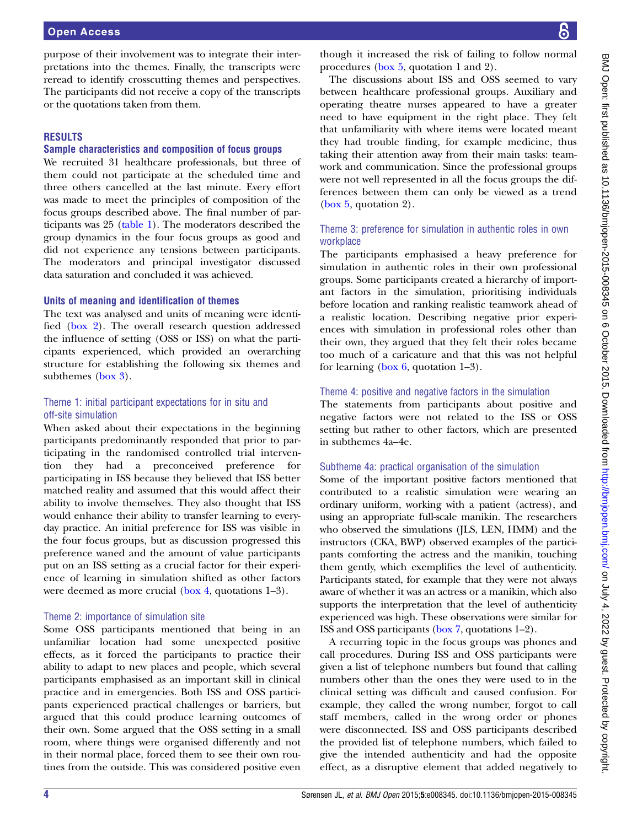### RESULTS

#### Sample characteristics and composition of focus groups

We recruited 31 healthcare professionals, but three of them could not participate at the scheduled time and three others cancelled at the last minute. Every effort was made to meet the principles of composition of the focus groups described above. The final number of participants was 25 ([table 1](#page-4-0)). The moderators described the group dynamics in the four focus groups as good and did not experience any tensions between participants. The moderators and principal investigator discussed data saturation and concluded it was achieved.

### Units of meaning and identification of themes

The text was analysed and units of meaning were identified ([box 2](#page-5-0)). The overall research question addressed the influence of setting (OSS or ISS) on what the participants experienced, which provided an overarching structure for establishing the following six themes and subthemes [\(box 3](#page-5-0)).

### Theme 1: initial participant expectations for in situ and off-site simulation

When asked about their expectations in the beginning participants predominantly responded that prior to participating in the randomised controlled trial intervention they had a preconceived preference for participating in ISS because they believed that ISS better matched reality and assumed that this would affect their ability to involve themselves. They also thought that ISS would enhance their ability to transfer learning to everyday practice. An initial preference for ISS was visible in the four focus groups, but as discussion progressed this preference waned and the amount of value participants put on an ISS setting as a crucial factor for their experience of learning in simulation shifted as other factors were deemed as more crucial [\(box 4,](#page-5-0) quotations 1–3).

### Theme 2: importance of simulation site

Some OSS participants mentioned that being in an unfamiliar location had some unexpected positive effects, as it forced the participants to practice their ability to adapt to new places and people, which several participants emphasised as an important skill in clinical practice and in emergencies. Both ISS and OSS participants experienced practical challenges or barriers, but argued that this could produce learning outcomes of their own. Some argued that the OSS setting in a small room, where things were organised differently and not in their normal place, forced them to see their own routines from the outside. This was considered positive even

though it increased the risk of failing to follow normal procedures ([box 5,](#page-5-0) quotation 1 and 2).

The discussions about ISS and OSS seemed to vary between healthcare professional groups. Auxiliary and operating theatre nurses appeared to have a greater need to have equipment in the right place. They felt that unfamiliarity with where items were located meant they had trouble finding, for example medicine, thus taking their attention away from their main tasks: teamwork and communication. Since the professional groups were not well represented in all the focus groups the differences between them can only be viewed as a trend [\(box 5,](#page-5-0) quotation 2).

### Theme 3: preference for simulation in authentic roles in own workplace

The participants emphasised a heavy preference for simulation in authentic roles in their own professional groups. Some participants created a hierarchy of important factors in the simulation, prioritising individuals before location and ranking realistic teamwork ahead of a realistic location. Describing negative prior experiences with simulation in professional roles other than their own, they argued that they felt their roles became too much of a caricature and that this was not helpful for learning (box  $6$ , quotation 1–3).

### Theme 4: positive and negative factors in the simulation

The statements from participants about positive and negative factors were not related to the ISS or OSS setting but rather to other factors, which are presented in subthemes 4a–4e.

### Subtheme 4a: practical organisation of the simulation

Some of the important positive factors mentioned that contributed to a realistic simulation were wearing an ordinary uniform, working with a patient (actress), and using an appropriate full-scale manikin. The researchers who observed the simulations (JLS, LEN, HMM) and the instructors (CKA, BWP) observed examples of the participants comforting the actress and the manikin, touching them gently, which exemplifies the level of authenticity. Participants stated, for example that they were not always aware of whether it was an actress or a manikin, which also supports the interpretation that the level of authenticity experienced was high. These observations were similar for ISS and OSS participants [\(box 7,](#page-6-0) quotations 1–2).

A recurring topic in the focus groups was phones and call procedures. During ISS and OSS participants were given a list of telephone numbers but found that calling numbers other than the ones they were used to in the clinical setting was difficult and caused confusion. For example, they called the wrong number, forgot to call staff members, called in the wrong order or phones were disconnected. ISS and OSS participants described the provided list of telephone numbers, which failed to give the intended authenticity and had the opposite effect, as a disruptive element that added negatively to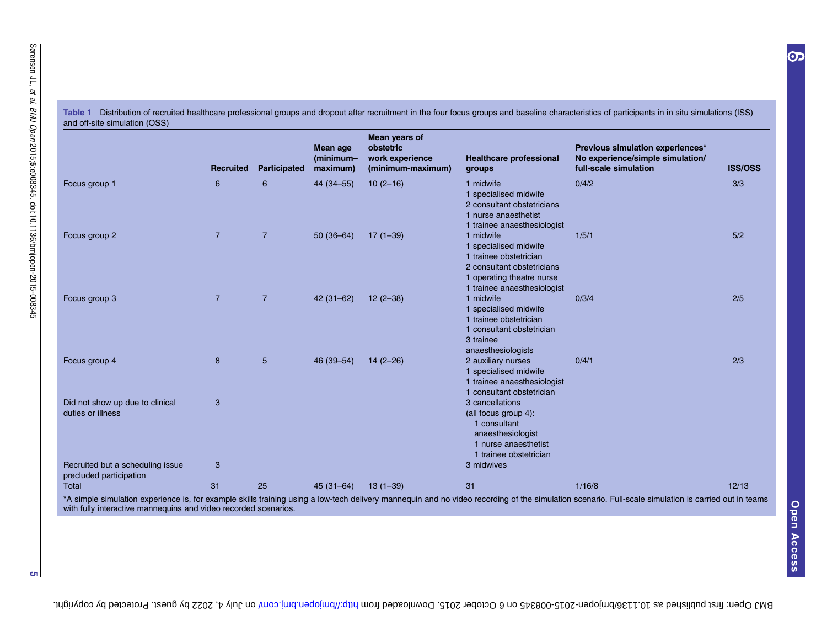|                                                             | Recruited      | <b>Participated</b> | Mean age<br>(minimum-<br>maximum) | Mean years of<br>obstetric<br>work experience<br>(minimum-maximum) | <b>Healthcare professional</b><br>groups                                                                                                               | Previous simulation experiences*<br>No experience/simple simulation/<br>full-scale simulation | <b>ISS/OSS</b> |
|-------------------------------------------------------------|----------------|---------------------|-----------------------------------|--------------------------------------------------------------------|--------------------------------------------------------------------------------------------------------------------------------------------------------|-----------------------------------------------------------------------------------------------|----------------|
| Focus group 1                                               | 6              | 6                   | 44 (34-55)                        | $10(2-16)$                                                         | 1 midwife<br>1 specialised midwife<br>2 consultant obstetricians<br>1 nurse anaesthetist<br>1 trainee anaesthesiologist                                | 0/4/2                                                                                         | 3/3            |
| Focus group 2                                               | $\overline{7}$ | $\overline{7}$      | $50(36-64)$                       | $17(1-39)$                                                         | 1 midwife<br>1 specialised midwife<br>1 trainee obstetrician<br>2 consultant obstetricians<br>1 operating theatre nurse<br>1 trainee anaesthesiologist | 1/5/1                                                                                         | 5/2            |
| Focus group 3                                               | $\overline{7}$ | $\overline{7}$      | $42(31-62)$                       | $12(2-38)$                                                         | 1 midwife<br>1 specialised midwife<br>1 trainee obstetrician<br>1 consultant obstetrician<br>3 trainee<br>anaesthesiologists                           | 0/3/4                                                                                         | 2/5            |
| Focus group 4                                               | 8              | 5                   | 46 (39-54)                        | $14(2 - 26)$                                                       | 2 auxiliary nurses<br>1 specialised midwife<br>1 trainee anaesthesiologist<br>1 consultant obstetrician                                                | 0/4/1                                                                                         | 2/3            |
| Did not show up due to clinical<br>duties or illness        | 3              |                     |                                   |                                                                    | 3 cancellations<br>(all focus group 4):<br>1 consultant<br>anaesthesiologist<br>1 nurse anaesthetist<br>1 trainee obstetrician                         |                                                                                               |                |
| Recruited but a scheduling issue<br>precluded participation | 3              |                     |                                   |                                                                    | 3 midwives                                                                                                                                             |                                                                                               |                |
| Total                                                       | 31             | 25                  | $45(31-64)$                       | $13(1 - 39)$                                                       | 31                                                                                                                                                     | 1/16/8                                                                                        | 12/13          |

<span id="page-4-0"></span>Table 1 Distribution of recruited healthcare professional groups and dropout after recruitment in the four focus groups and baseline characteristics of participants in in situ simulations (ISS) and off-site simulation (OSS)

\*A simple simulation experience is, for example skills training using <sup>a</sup> low-tech delivery mannequin and no video recording of the simulation scenario. Full-scale simulation is carried out in teams with fully interactive mannequins and video recorded scenarios.

5

 $\bullet$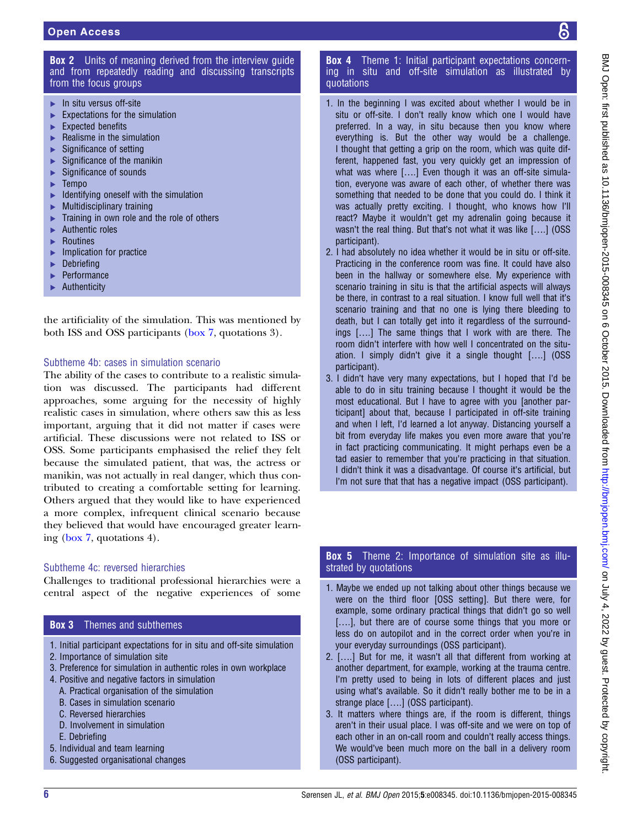from the focus groups ▸ In situ versus off-site

► Expected benefits

▸ Tempo

▸ Routines

 $\blacktriangleright$  Expectations for the simulation

### the artificiality of the simulation. This was mentioned by  $\blacktriangleright$  Realisme in the simulation ▸ Significance of setting  $\blacktriangleright$  Significance of the manikin ► Significance of sounds  $\blacktriangleright$  Identifying oneself with the simulation  $\blacktriangleright$  Multidisciplinary training ▸ Training in own role and the role of others ▶ Authentic roles ▸ Implication for practice ▸ Debriefing ▸ Performance **Authenticity**

both ISS and OSS participants ([box 7,](#page-6-0) quotations 3).

<span id="page-5-0"></span>**Box 2** Units of meaning derived from the interview quide and from repeatedly reading and discussing transcripts

### Subtheme 4b: cases in simulation scenario

The ability of the cases to contribute to a realistic simulation was discussed. The participants had different approaches, some arguing for the necessity of highly realistic cases in simulation, where others saw this as less important, arguing that it did not matter if cases were artificial. These discussions were not related to ISS or OSS. Some participants emphasised the relief they felt because the simulated patient, that was, the actress or manikin, was not actually in real danger, which thus contributed to creating a comfortable setting for learning. Others argued that they would like to have experienced a more complex, infrequent clinical scenario because they believed that would have encouraged greater learning ([box 7](#page-6-0), quotations 4).

## Subtheme 4c: reversed hierarchies

Challenges to traditional professional hierarchies were a central aspect of the negative experiences of some

## **Box 3** Themes and subthemes

- 1. Initial participant expectations for in situ and off-site simulation
- 2. Importance of simulation site
- 3. Preference for simulation in authentic roles in own workplace
- 4. Positive and negative factors in simulation
	- A. Practical organisation of the simulation
	- B. Cases in simulation scenario
	- C. Reversed hierarchies
	- D. Involvement in simulation
	- E. Debriefing
- 5. Individual and team learning
- 6. Suggested organisational changes

Box 4 Theme 1: Initial participant expectations concerning in situ and off-site simulation as illustrated by quotations

- 1. In the beginning I was excited about whether I would be in situ or off-site. I don't really know which one I would have preferred. In a way, in situ because then you know where everything is. But the other way would be a challenge. I thought that getting a grip on the room, which was quite different, happened fast, you very quickly get an impression of what was where [….] Even though it was an off-site simulation, everyone was aware of each other, of whether there was something that needed to be done that you could do. I think it was actually pretty exciting. I thought, who knows how I'll react? Maybe it wouldn't get my adrenalin going because it wasn't the real thing. But that's not what it was like [....] (OSS participant).
- 2. I had absolutely no idea whether it would be in situ or off-site. Practicing in the conference room was fine. It could have also been in the hallway or somewhere else. My experience with scenario training in situ is that the artificial aspects will always be there, in contrast to a real situation. I know full well that it's scenario training and that no one is lying there bleeding to death, but I can totally get into it regardless of the surroundings [….] The same things that I work with are there. The room didn't interfere with how well I concentrated on the situation. I simply didn't give it a single thought [….] (OSS participant).
- 3. I didn't have very many expectations, but I hoped that I'd be able to do in situ training because I thought it would be the most educational. But I have to agree with you [another participant] about that, because I participated in off-site training and when I left, I'd learned a lot anyway. Distancing yourself a bit from everyday life makes you even more aware that you're in fact practicing communicating. It might perhaps even be a tad easier to remember that you're practicing in that situation. I didn't think it was a disadvantage. Of course it's artificial, but I'm not sure that that has a negative impact (OSS participant).

### Box 5 Theme 2: Importance of simulation site as illustrated by quotations

- 1. Maybe we ended up not talking about other things because we were on the third floor [OSS setting]. But there were, for example, some ordinary practical things that didn't go so well [....], but there are of course some things that you more or less do on autopilot and in the correct order when you're in your everyday surroundings (OSS participant).
- 2. [….] But for me, it wasn't all that different from working at another department, for example, working at the trauma centre. I'm pretty used to being in lots of different places and just using what's available. So it didn't really bother me to be in a strange place [….] (OSS participant).
- 3. It matters where things are, if the room is different, things aren't in their usual place. I was off-site and we were on top of each other in an on-call room and couldn't really access things. We would've been much more on the ball in a delivery room (OSS participant).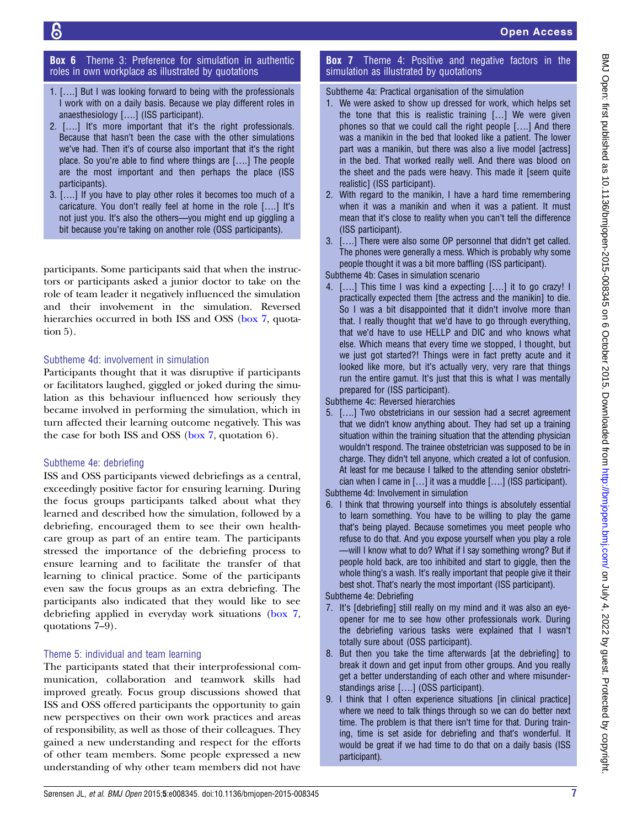### <span id="page-6-0"></span>Box 6 Theme 3: Preference for simulation in authentic roles in own workplace as illustrated by quotations

- 1. [….] But I was looking forward to being with the professionals I work with on a daily basis. Because we play different roles in anaesthesiology [….] (ISS participant).
- 2. [….] It's more important that it's the right professionals. Because that hasn't been the case with the other simulations we've had. Then it's of course also important that it's the right place. So you're able to find where things are [….] The people are the most important and then perhaps the place (ISS participants).
- 3. [….] If you have to play other roles it becomes too much of a caricature. You don't really feel at home in the role [….] It's not just you. It's also the others—you might end up giggling a bit because you're taking on another role (OSS participants).

participants. Some participants said that when the instructors or participants asked a junior doctor to take on the role of team leader it negatively influenced the simulation and their involvement in the simulation. Reversed hierarchies occurred in both ISS and OSS (box 7, quotation 5).

### Subtheme 4d: involvement in simulation

Participants thought that it was disruptive if participants or facilitators laughed, giggled or joked during the simulation as this behaviour influenced how seriously they became involved in performing the simulation, which in turn affected their learning outcome negatively. This was the case for both ISS and OSS (box 7, quotation 6).

### Subtheme 4e: debriefing

ISS and OSS participants viewed debriefings as a central, exceedingly positive factor for ensuring learning. During the focus groups participants talked about what they learned and described how the simulation, followed by a debriefing, encouraged them to see their own healthcare group as part of an entire team. The participants stressed the importance of the debriefing process to ensure learning and to facilitate the transfer of that learning to clinical practice. Some of the participants even saw the focus groups as an extra debriefing. The participants also indicated that they would like to see debriefing applied in everyday work situations (box 7, quotations 7–9).

### Theme 5: individual and team learning

The participants stated that their interprofessional communication, collaboration and teamwork skills had improved greatly. Focus group discussions showed that ISS and OSS offered participants the opportunity to gain new perspectives on their own work practices and areas of responsibility, as well as those of their colleagues. They gained a new understanding and respect for the efforts of other team members. Some people expressed a new understanding of why other team members did not have

### **Box 7** Theme 4: Positive and negative factors in the simulation as illustrated by quotations

### Subtheme 4a: Practical organisation of the simulation

- 1. We were asked to show up dressed for work, which helps set the tone that this is realistic training […] We were given phones so that we could call the right people [….] And there was a manikin in the bed that looked like a patient. The lower part was a manikin, but there was also a live model [actress] in the bed. That worked really well. And there was blood on the sheet and the pads were heavy. This made it [seem quite realistic] (ISS participant).
- 2. With regard to the manikin, I have a hard time remembering when it was a manikin and when it was a patient. It must mean that it's close to reality when you can't tell the difference (ISS participant).
- 3. [….] There were also some OP personnel that didn't get called. The phones were generally a mess. Which is probably why some people thought it was a bit more baffling (ISS participant).

Subtheme 4b: Cases in simulation scenario

4. [….] This time I was kind a expecting [….] it to go crazy! I practically expected them [the actress and the manikin] to die. So I was a bit disappointed that it didn't involve more than that. I really thought that we'd have to go through everything, that we'd have to use HELLP and DIC and who knows what else. Which means that every time we stopped, I thought, but we just got started?! Things were in fact pretty acute and it looked like more, but it's actually very, very rare that things run the entire gamut. It's just that this is what I was mentally prepared for (ISS participant).

Subtheme 4c: Reversed hierarchies

5. [….] Two obstetricians in our session had a secret agreement that we didn't know anything about. They had set up a training situation within the training situation that the attending physician wouldn't respond. The trainee obstetrician was supposed to be in charge. They didn't tell anyone, which created a lot of confusion. At least for me because I talked to the attending senior obstetrician when I came in […] it was a muddle [….] (ISS participant).

Subtheme 4d: Involvement in simulation

6. I think that throwing yourself into things is absolutely essential to learn something. You have to be willing to play the game that's being played. Because sometimes you meet people who refuse to do that. And you expose yourself when you play a role —will I know what to do? What if I say something wrong? But if people hold back, are too inhibited and start to giggle, then the whole thing's a wash. It's really important that people give it their best shot. That's nearly the most important (ISS participant).

Subtheme 4e: Debriefing

- 7. It's [debriefing] still really on my mind and it was also an eyeopener for me to see how other professionals work. During the debriefing various tasks were explained that I wasn't totally sure about (OSS participant).
- 8. But then you take the time afterwards [at the debriefing] to break it down and get input from other groups. And you really get a better understanding of each other and where misunderstandings arise [….] (OSS participant).
- 9. I think that I often experience situations [in clinical practice] where we need to talk things through so we can do better next time. The problem is that there isn't time for that. During training, time is set aside for debriefing and that's wonderful. It would be great if we had time to do that on a daily basis (ISS participant).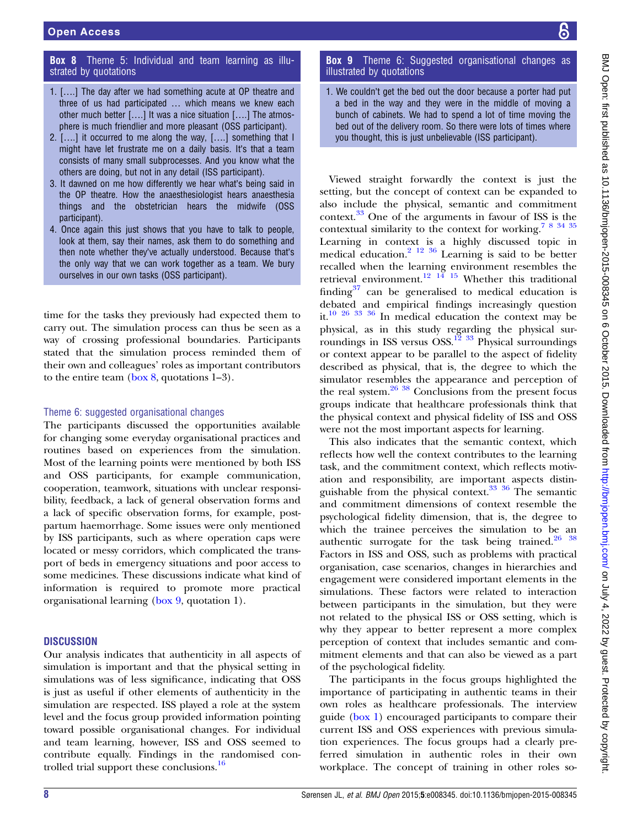### Box 8 Theme 5: Individual and team learning as illustrated by quotations

- 1. [….] The day after we had something acute at OP theatre and three of us had participated … which means we knew each other much better [….] It was a nice situation [….] The atmosphere is much friendlier and more pleasant (OSS participant).
- 2. [….] it occurred to me along the way, [….] something that I might have let frustrate me on a daily basis. It's that a team consists of many small subprocesses. And you know what the others are doing, but not in any detail (ISS participant).
- 3. It dawned on me how differently we hear what's being said in the OP theatre. How the anaesthesiologist hears anaesthesia things and the obstetrician hears the midwife (OSS participant).
- 4. Once again this just shows that you have to talk to people, look at them, say their names, ask them to do something and then note whether they've actually understood. Because that's the only way that we can work together as a team. We bury ourselves in our own tasks (OSS participant).

time for the tasks they previously had expected them to carry out. The simulation process can thus be seen as a way of crossing professional boundaries. Participants stated that the simulation process reminded them of their own and colleagues' roles as important contributors to the entire team (box 8, quotations 1–3).

#### Theme 6: suggested organisational changes

The participants discussed the opportunities available for changing some everyday organisational practices and routines based on experiences from the simulation. Most of the learning points were mentioned by both ISS and OSS participants, for example communication, cooperation, teamwork, situations with unclear responsibility, feedback, a lack of general observation forms and a lack of specific observation forms, for example, postpartum haemorrhage. Some issues were only mentioned by ISS participants, such as where operation caps were located or messy corridors, which complicated the transport of beds in emergency situations and poor access to some medicines. These discussions indicate what kind of information is required to promote more practical organisational learning (box 9, quotation 1).

### **DISCUSSION**

Our analysis indicates that authenticity in all aspects of simulation is important and that the physical setting in simulations was of less significance, indicating that OSS is just as useful if other elements of authenticity in the simulation are respected. ISS played a role at the system level and the focus group provided information pointing toward possible organisational changes. For individual and team learning, however, ISS and OSS seemed to contribute equally. Findings in the randomised con-trolled trial support these conclusions.<sup>[16](#page-9-0)</sup>

Box 9 Theme 6: Suggested organisational changes as illustrated by quotations

1. We couldn't get the bed out the door because a porter had put a bed in the way and they were in the middle of moving a bunch of cabinets. We had to spend a lot of time moving the bed out of the delivery room. So there were lots of times where you thought, this is just unbelievable (ISS participant).

Viewed straight forwardly the context is just the setting, but the concept of context can be expanded to also include the physical, semantic and commitment context.[33](#page-10-0) One of the arguments in favour of ISS is the contextual similarity to the context for working.<sup>7 8 [34 35](#page-10-0)</sup> Learning in context is a highly discussed topic in medical education.<sup>[2 12](#page-9-0) [36](#page-10-0)</sup> Learning is said to be better recalled when the learning environment resembles the retrieval environment. $12 \frac{14}{15}$  Whether this traditional finding[37](#page-10-0) can be generalised to medical education is debated and empirical findings increasingly question it.[10](#page-9-0) [26 33 36](#page-10-0) In medical education the context may be physical, as in this study regarding the physical surroundings in ISS versus  $\overrightarrow{OSS}$ .<sup>12</sup> <sup>33</sup> Physical surroundings or context appear to be parallel to the aspect of fidelity described as physical, that is, the degree to which the simulator resembles the appearance and perception of the real system. $26 \frac{38}{11}$  Conclusions from the present focus groups indicate that healthcare professionals think that the physical context and physical fidelity of ISS and OSS were not the most important aspects for learning.

This also indicates that the semantic context, which reflects how well the context contributes to the learning task, and the commitment context, which reflects motivation and responsibility, are important aspects distinguishable from the physical context.<sup>33 36</sup> The semantic and commitment dimensions of context resemble the psychological fidelity dimension, that is, the degree to which the trainee perceives the simulation to be an authentic surrogate for the task being trained.<sup>26</sup> <sup>38</sup> Factors in ISS and OSS, such as problems with practical organisation, case scenarios, changes in hierarchies and engagement were considered important elements in the simulations. These factors were related to interaction between participants in the simulation, but they were not related to the physical ISS or OSS setting, which is why they appear to better represent a more complex perception of context that includes semantic and commitment elements and that can also be viewed as a part of the psychological fidelity.

The participants in the focus groups highlighted the importance of participating in authentic teams in their own roles as healthcare professionals. The interview guide ([box 1](#page-2-0)) encouraged participants to compare their current ISS and OSS experiences with previous simulation experiences. The focus groups had a clearly preferred simulation in authentic roles in their own workplace. The concept of training in other roles so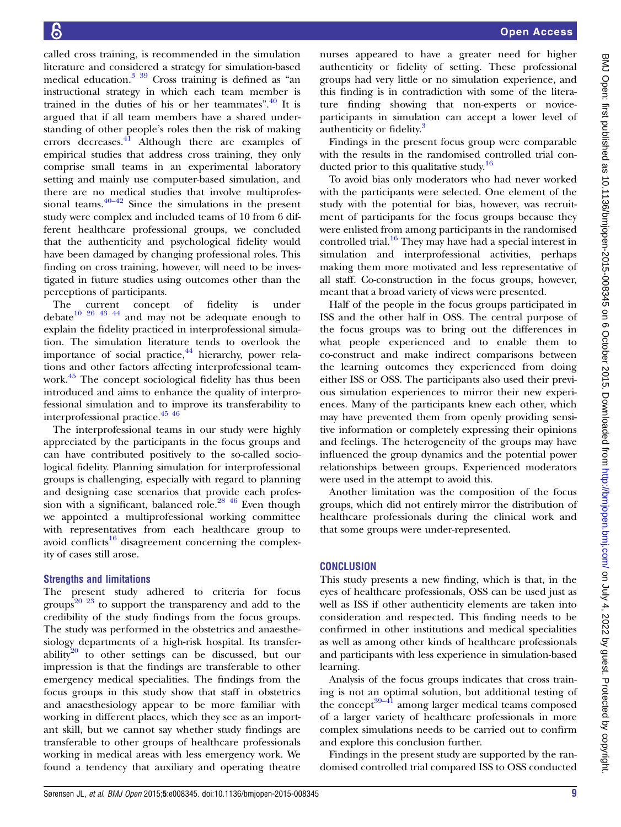called cross training, is recommended in the simulation literature and considered a strategy for simulation-based medical education.<sup>[3](#page-9-0) [39](#page-10-0)</sup> Cross training is defined as "an instructional strategy in which each team member is trained in the duties of his or her teammates". [40](#page-10-0) It is argued that if all team members have a shared understanding of other people's roles then the risk of making errors decreases.<sup>[41](#page-10-0)</sup> Although there are examples of empirical studies that address cross training, they only comprise small teams in an experimental laboratory setting and mainly use computer-based simulation, and there are no medical studies that involve multiprofessional teams. $40-42$  $40-42$  Since the simulations in the present study were complex and included teams of 10 from 6 different healthcare professional groups, we concluded that the authenticity and psychological fidelity would have been damaged by changing professional roles. This finding on cross training, however, will need to be investigated in future studies using outcomes other than the perceptions of participants.

The current concept of fidelity is under debate $10^{26}$  $10^{26}$   $43^{44}$  and may not be adequate enough to explain the fidelity practiced in interprofessional simulation. The simulation literature tends to overlook the importance of social practice, $^{44}$  $^{44}$  $^{44}$  hierarchy, power relations and other factors affecting interprofessional teamwork[.45](#page-10-0) The concept sociological fidelity has thus been introduced and aims to enhance the quality of interprofessional simulation and to improve its transferability to interprofessional practice.<sup>45</sup> <sup>46</sup>

The interprofessional teams in our study were highly appreciated by the participants in the focus groups and can have contributed positively to the so-called sociological fidelity. Planning simulation for interprofessional groups is challenging, especially with regard to planning and designing case scenarios that provide each profes-sion with a significant, balanced role.<sup>[28 46](#page-10-0)</sup> Even though we appointed a multiprofessional working committee with representatives from each healthcare group to avoid conflicts $16$  disagreement concerning the complexity of cases still arose.

### Strengths and limitations

The present study adhered to criteria for focus groups<sup>[20 23](#page-9-0)</sup> to support the transparency and add to the credibility of the study findings from the focus groups. The study was performed in the obstetrics and anaesthesiology departments of a high-risk hospital. Its transferability $^{20}$  $^{20}$  $^{20}$  to other settings can be discussed, but our impression is that the findings are transferable to other emergency medical specialities. The findings from the focus groups in this study show that staff in obstetrics and anaesthesiology appear to be more familiar with working in different places, which they see as an important skill, but we cannot say whether study findings are transferable to other groups of healthcare professionals working in medical areas with less emergency work. We found a tendency that auxiliary and operating theatre nurses appeared to have a greater need for higher authenticity or fidelity of setting. These professional groups had very little or no simulation experience, and this finding is in contradiction with some of the literature finding showing that non-experts or noviceparticipants in simulation can accept a lower level of authenticity or fidelity.<sup>[3](#page-9-0)</sup>

Findings in the present focus group were comparable with the results in the randomised controlled trial con-ducted prior to this qualitative study.<sup>[16](#page-9-0)</sup>

To avoid bias only moderators who had never worked with the participants were selected. One element of the study with the potential for bias, however, was recruitment of participants for the focus groups because they were enlisted from among participants in the randomised controlled trial. $16$  They may have had a special interest in simulation and interprofessional activities, perhaps making them more motivated and less representative of all staff. Co-construction in the focus groups, however, meant that a broad variety of views were presented.

Half of the people in the focus groups participated in ISS and the other half in OSS. The central purpose of the focus groups was to bring out the differences in what people experienced and to enable them to co-construct and make indirect comparisons between the learning outcomes they experienced from doing either ISS or OSS. The participants also used their previous simulation experiences to mirror their new experiences. Many of the participants knew each other, which may have prevented them from openly providing sensitive information or completely expressing their opinions and feelings. The heterogeneity of the groups may have influenced the group dynamics and the potential power relationships between groups. Experienced moderators were used in the attempt to avoid this.

Another limitation was the composition of the focus groups, which did not entirely mirror the distribution of healthcare professionals during the clinical work and that some groups were under-represented.

### **CONCLUSION**

This study presents a new finding, which is that, in the eyes of healthcare professionals, OSS can be used just as well as ISS if other authenticity elements are taken into consideration and respected. This finding needs to be confirmed in other institutions and medical specialities as well as among other kinds of healthcare professionals and participants with less experience in simulation-based learning.

Analysis of the focus groups indicates that cross training is not an optimal solution, but additional testing of the concept<sup>39–[41](#page-10-0)</sup> among larger medical teams composed of a larger variety of healthcare professionals in more complex simulations needs to be carried out to confirm and explore this conclusion further.

Findings in the present study are supported by the randomised controlled trial compared ISS to OSS conducted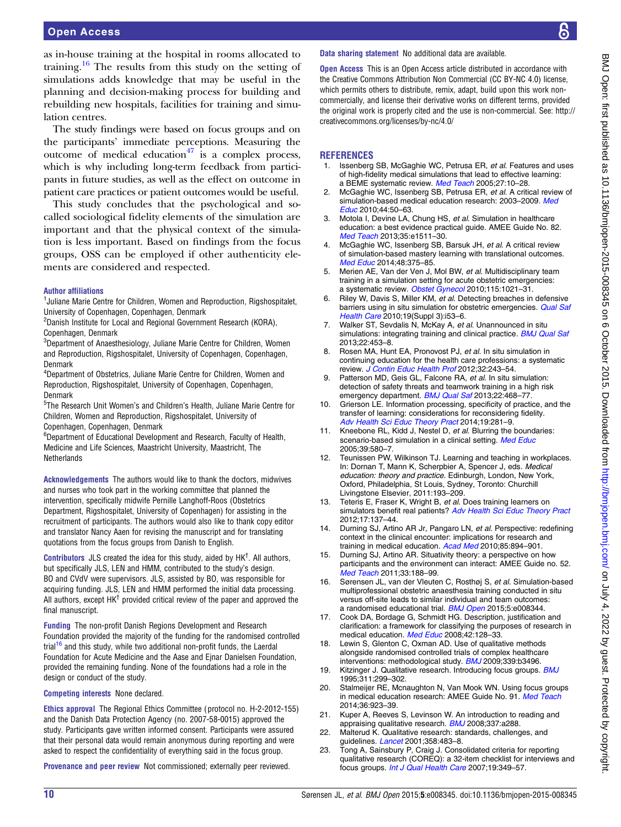<span id="page-9-0"></span>as in-house training at the hospital in rooms allocated to training.<sup>16</sup> The results from this study on the setting of simulations adds knowledge that may be useful in the planning and decision-making process for building and rebuilding new hospitals, facilities for training and simulation centres.

The study findings were based on focus groups and on the participants' immediate perceptions. Measuring the outcome of medical education<sup>[47](#page-10-0)</sup> is a complex process, which is why including long-term feedback from participants in future studies, as well as the effect on outcome in patient care practices or patient outcomes would be useful.

This study concludes that the psychological and socalled sociological fidelity elements of the simulation are important and that the physical context of the simulation is less important. Based on findings from the focus groups, OSS can be employed if other authenticity elements are considered and respected.

#### Author affiliations

<sup>1</sup>Juliane Marie Centre for Children, Women and Reproduction, Rigshospitalet, University of Copenhagen, Copenhagen, Denmark

<sup>2</sup>Danish Institute for Local and Regional Government Research (KORA), Copenhagen, Denmark

 ${}^{3}$ Department of Anaesthesiology, Juliane Marie Centre for Children, Women and Reproduction, Rigshospitalet, University of Copenhagen, Copenhagen, Denmark

<sup>4</sup>Department of Obstetrics, Juliane Marie Centre for Children, Women and Reproduction, Rigshospitalet, University of Copenhagen, Copenhagen, Denmark

<sup>5</sup>The Research Unit Women's and Children's Health, Juliane Marie Centre for Children, Women and Reproduction, Rigshospitalet, University of Copenhagen, Copenhagen, Denmark

<sup>6</sup>Department of Educational Development and Research, Faculty of Health, Medicine and Life Sciences, Maastricht University, Maastricht, The **Netherlands** 

Acknowledgements The authors would like to thank the doctors, midwives and nurses who took part in the working committee that planned the intervention, specifically midwife Pernille Langhoff-Roos (Obstetrics Department, Rigshospitalet, University of Copenhagen) for assisting in the recruitment of participants. The authors would also like to thank copy editor and translator Nancy Aaen for revising the manuscript and for translating quotations from the focus groups from Danish to English.

Contributors JLS created the idea for this study, aided by HK<sup>†</sup>. All authors, but specifically JLS, LEN and HMM, contributed to the study's design. BO and CVdV were supervisors. JLS, assisted by BO, was responsible for acquiring funding. JLS, LEN and HMM performed the initial data processing. All authors, except  $HK^{\dagger}$  provided critical review of the paper and approved the final manuscript.

Funding The non-profit Danish Regions Development and Research Foundation provided the majority of the funding for the randomised controlled trial<sup>16</sup> and this study, while two additional non-profit funds, the Laerdal Foundation for Acute Medicine and the Aase and Ejnar Danielsen Foundation, provided the remaining funding. None of the foundations had a role in the design or conduct of the study.

Competing interests None declared.

Ethics approval The Regional Ethics Committee ( protocol no. H-2-2012-155) and the Danish Data Protection Agency (no. 2007-58-0015) approved the study. Participants gave written informed consent. Participants were assured that their personal data would remain anonymous during reporting and were asked to respect the confidentiality of everything said in the focus group.

Provenance and peer review Not commissioned; externally peer reviewed.

#### Data sharing statement No additional data are available.

Open Access This is an Open Access article distributed in accordance with the Creative Commons Attribution Non Commercial (CC BY-NC 4.0) license, which permits others to distribute, remix, adapt, build upon this work noncommercially, and license their derivative works on different terms, provided the original work is properly cited and the use is non-commercial. See: [http://](http://creativecommons.org/licenses/by-nc/4.0/) [creativecommons.org/licenses/by-nc/4.0/](http://creativecommons.org/licenses/by-nc/4.0/)

#### **REFERENCES**

- 1. Issenberg SB, McGaghie WC, Petrusa ER, et al. Features and uses of high-fidelity medical simulations that lead to effective learning: a BEME systematic review. [Med Teach](http://dx.doi.org/10.1080/01421590500046924) 2005;27:10–28.
- 2. McGaghie WC, Issenberg SB, Petrusa ER, et al. A critical review of simulation-based medical education research: 2003–2009. [Med](http://dx.doi.org/10.1111/j.1365-2923.2009.03547.x) [Educ](http://dx.doi.org/10.1111/j.1365-2923.2009.03547.x) 2010;44:50–63.
- Motola I, Devine LA, Chung HS, et al. Simulation in healthcare education: a best evidence practical guide. AMEE Guide No. 82. [Med Teach](http://dx.doi.org/10.3109/0142159X.2013.818632) 2013;35:e1511–30.
- 4. McGaghie WC, Issenberg SB, Barsuk JH, et al. A critical review of simulation-based mastery learning with translational outcomes. [Med Educ](http://dx.doi.org/10.1111/medu.12391) 2014;48:375–85.
- 5. Merien AE, Van der Ven J, Mol BW, et al. Multidisciplinary team training in a simulation setting for acute obstetric emergencies: a systematic review. [Obstet Gynecol](http://dx.doi.org/10.1097/AOG.0b013e3181d9f4cd) 2010;115:1021-31.
- 6. Riley W, Davis S, Miller KM, et al. Detecting breaches in defensive barriers using in situ simulation for obstetric emergencies. [Qual Saf](http://dx.doi.org/10.1136/qshc.2010.040311) [Health Care](http://dx.doi.org/10.1136/qshc.2010.040311) 2010;19(Suppl 3):i53–6.
- 7. Walker ST, Sevdalis N, McKay A, et al. Unannounced in situ simulations: integrating training and clinical practice. **[BMJ Qual Saf](http://dx.doi.org/10.1136/bmjqs-2012-000986)** 2013;22:453–8.
- 8. Rosen MA, Hunt EA, Pronovost PJ, et al. In situ simulation in continuing education for the health care professions: a systematic review. [J Contin Educ Health Prof](http://dx.doi.org/10.1002/chp.21152) 2012;32:243–54.
- 9. Patterson MD, Geis GL, Falcone RA, et al. In situ simulation: detection of safety threats and teamwork training in a high risk emergency department. **[BMJ Qual Saf](http://dx.doi.org/10.1136/bmjqs-2012-000942) 2013;22:468-77.**
- 10. Grierson LE. Information processing, specificity of practice, and the transfer of learning: considerations for reconsidering fidelity. [Adv Health Sci Educ Theory Pract](http://dx.doi.org/10.1007/s10459-014-9504-x) 2014;19:281-9.
- 11. Kneebone RL, Kidd J, Nestel D, et al. Blurring the boundaries: scenario-based simulation in a clinical setting. [Med Educ](http://dx.doi.org/10.1111/j.1365-2929.2005.02110.x) 2005;39:580–7.
- 12. Teunissen PW, Wilkinson TJ. Learning and teaching in workplaces. In: Dornan T, Mann K, Scherpbier A, Spencer J, eds. Medical education: theory and practice. Edinburgh, London, New York, Oxford, Philadelphia, St Louis, Sydney, Toronto: Churchill Livingstone Elsevier, 2011:193–209.
- 13. Teteris E, Fraser K, Wright B, et al. Does training learners on simulators benefit real patients? [Adv Health Sci Educ Theory Pract](http://dx.doi.org/10.1007/s10459-011-9304-5) 2012;17:137–44.
- 14. Durning SJ, Artino AR Jr, Pangaro LN, et al. Perspective: redefining context in the clinical encounter: implications for research and training in medical education. [Acad Med](http://dx.doi.org/10.1097/ACM.0b013e3181d7427c) 2010;85:894–901.
- 15. Durning SJ, Artino AR. Situativity theory: a perspective on how participants and the environment can interact: AMEE Guide no. 52. [Med Teach](http://dx.doi.org/10.3109/0142159X.2011.550965) 2011;33:188-99.
- 16. Sørensen JL, van der Vleuten C, Rosthøj S, et al. Simulation-based multiprofessional obstetric anaesthesia training conducted in situ versus off-site leads to similar individual and team outcomes: a randomised educational trial. **[BMJ Open](http://dx.doi.org/10.1136/bmjopen-2015-008344) 2015**;5:e008344.
- 17. Cook DA, Bordage G, Schmidt HG. Description, justification and clarification: a framework for classifying the purposes of research in medical education. [Med Educ](http://dx.doi.org/10.1111/j.1365-2923.2007.02974.x) 2008;42:128-33.
- 18. Lewin S, Glenton C, Oxman AD. Use of qualitative methods alongside randomised controlled trials of complex healthcare interventions: methodological study. **[BMJ](http://dx.doi.org/10.1136/bmj.b3496)** 2009;339:b3496.
- 19. Kitzinger J. Qualitative research. Introducing focus groups. **[BMJ](http://dx.doi.org/10.1136/bmj.311.7000.299)** 1995;311:299–302.
- 20. Stalmeijer RE, Mcnaughton N, Van Mook WN. Using focus groups in medical education research: AMEE Guide No. 91. [Med Teach](http://dx.doi.org/10.3109/0142159X.2014.917165) 2014;36:923–39.
- 21. Kuper A, Reeves S, Levinson W. An introduction to reading and appraising qualitative research. **[BMJ](http://dx.doi.org/10.1136/bmj.a288)** 2008;337:a288.
- 22. Malterud K. Qualitative research: standards, challenges, and guidelines. [Lancet](http://dx.doi.org/10.1016/S0140-6736(01)05627-6) 2001;358:483–8.
- 23. Tong A, Sainsbury P, Craig J. Consolidated criteria for reporting qualitative research (COREQ): a 32-item checklist for interviews and focus groups. [Int J Qual Health Care](http://dx.doi.org/10.1093/intqhc/mzm042) 2007;19:349–57.